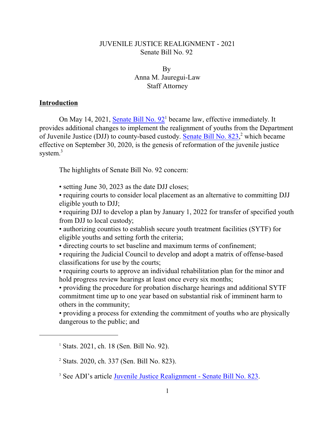# JUVENILE JUSTICE REALIGNMENT - 2021 Senate Bill No. 92

By Anna M. Jauregui-Law Staff Attorney

## **Introduction**

On May 14, 2021, [Senate Bill No. 92](https://leginfo.legislature.ca.gov/faces/billTextClient.xhtml?bill_id=202120220SB92)<sup>1</sup> became law, effective immediately. It provides additional changes to implement the realignment of youths from the Department of Juvenile Justice (DJJ) to county-based custody. [Senate Bill No. 823](https://leginfo.legislature.ca.gov/faces/billTextClient.xhtml?bill_id=201920200SB823)[,](https://leginfo.legislature.ca.gov/faces/billNavClient.xhtml?bill_id=201920200SB823)<sup>2</sup> which became effective on September 30, 2020, is the genesis of reformation of the juvenile justice system. 3

The highlights of Senate Bill No. 92 concern:

• setting June 30, 2023 as the date DJJ closes;

• requiring courts to consider local placement as an alternative to committing DJJ eligible youth to DJJ;

• requiring DJJ to develop a plan by January 1, 2022 for transfer of specified youth from DJJ to local custody;

• authorizing counties to establish secure youth treatment facilities (SYTF) for eligible youths and setting forth the criteria;

• directing courts to set baseline and maximum terms of confinement;

• requiring the Judicial Council to develop and adopt a matrix of offense-based classifications for use by the courts;

• requiring courts to approve an individual rehabilitation plan for the minor and hold progress review hearings at least once every six months;

• providing the procedure for probation discharge hearings and additional SYTF commitment time up to one year based on substantial risk of imminent harm to others in the community;

• providing a process for extending the commitment of youths who are physically dangerous to the public; and

<sup>&</sup>lt;sup>1</sup> Stats. 2021, ch. 18 (Sen. Bill No. 92).

<sup>2</sup> Stats. 2020, ch. 337 (Sen. Bill No. 823).

<sup>&</sup>lt;sup>3</sup> See ADI's article **Juvenile Justice Realignment** - Senate Bill No. 823.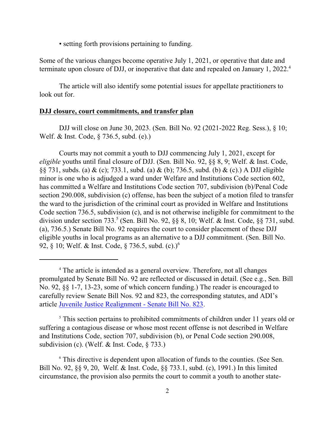• setting forth provisions pertaining to funding.

Some of the various changes become operative July 1, 2021, or operative that date and terminate upon closure of DJJ, or inoperative that date and repealed on January 1, 2022.<sup>4</sup>

The article will also identify some potential issues for appellate practitioners to look out for.

# **DJJ closure, court commitments, and transfer plan**

DJJ will close on June 30, 2023. (Sen. Bill No. 92 (2021-2022 Reg. Sess.), § 10; Welf. & Inst. Code, § 736.5, subd. (e).)

Courts may not commit a youth to DJJ commencing July 1, 2021, except for *eligible* youths until final closure of DJJ. (Sen. Bill No. 92, §§ 8, 9; Welf. & Inst. Code, §§ 731, subds. (a) & (c); 733.1, subd. (a) & (b); 736.5, subd. (b) & (c).) A DJJ eligible minor is one who is adjudged a ward under Welfare and Institutions Code section 602, has committed a Welfare and Institutions Code section 707, subdivision (b)/Penal Code section 290.008, subdivision (c) offense, has been the subject of a motion filed to transfer the ward to the jurisdiction of the criminal court as provided in Welfare and Institutions Code section 736.5, subdivision (c), and is not otherwise ineligible for commitment to the division under section  $733$ .<sup>5</sup> (Sen. Bill No. 92,  $\S$ § 8, 10; Welf. & Inst. Code,  $\S$ § 731, subd. (a), 736.5.) Senate Bill No. 92 requires the court to consider placement of these DJJ eligible youths in local programs as an alternative to a DJJ commitment. (Sen. Bill No. 92, § 10; Welf. & Inst. Code, § 736.5, subd. (c).)<sup>6</sup>

<sup>4</sup> The article is intended as a general overview. Therefore, not all changes promulgated by Senate Bill No. 92 are reflected or discussed in detail. (See e.g., Sen. Bill No. 92, §§ 1-7, 13-23, some of which concern funding.) The reader is encouraged to carefully review Senate Bill Nos. 92 and 823, the corresponding statutes, and ADI's article [Juvenile Justice Realignment - Senate Bill No. 823](http://www.adi-sandiego.com/delinq_depend/pdf_files/JUVENILE_JUSTICE_REALIGNMENT_Senate_Bill_No.823-4_20_2021.pdf).

<sup>&</sup>lt;sup>5</sup> This section pertains to prohibited commitments of children under 11 years old or suffering a contagious disease or whose most recent offense is not described in Welfare and Institutions Code, section 707, subdivision (b), or Penal Code section 290.008, subdivision (c). (Welf. & Inst. Code, § 733.)

<sup>&</sup>lt;sup>6</sup> This directive is dependent upon allocation of funds to the counties. (See Sen. Bill No. 92, §§ 9, 20, Welf. & Inst. Code, §§ 733.1, subd. (c), 1991.) In this limited circumstance, the provision also permits the court to commit a youth to another state-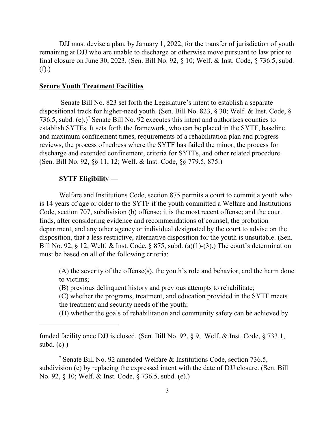DJJ must devise a plan, by January 1, 2022, for the transfer of jurisdiction of youth remaining at DJJ who are unable to discharge or otherwise move pursuant to law prior to final closure on June 30, 2023. (Sen. Bill No. 92, § 10; Welf. & Inst. Code, § 736.5, subd. (f).)

### **Secure Youth Treatment Facilities**

 Senate Bill No. 823 set forth the Legislature's intent to establish a separate dispositional track for higher-need youth. (Sen. Bill No. 823, § 30; Welf. & Inst. Code, § 736.5, subd.  $(e)$ .)<sup>7</sup> Senate Bill No. 92 executes this intent and authorizes counties to establish SYTFs. It sets forth the framework, who can be placed in the SYTF, baseline and maximum confinement times, requirements of a rehabilitation plan and progress reviews, the process of redress where the SYTF has failed the minor, the process for discharge and extended confinement, criteria for SYTFs, and other related procedure. (Sen. Bill No. 92, §§ 11, 12; Welf. & Inst. Code, §§ 779.5, 875.)

# **SYTF Eligibility —**

Welfare and Institutions Code, section 875 permits a court to commit a youth who is 14 years of age or older to the SYTF if the youth committed a Welfare and Institutions Code, section 707, subdivision (b) offense; it is the most recent offense; and the court finds, after considering evidence and recommendations of counsel, the probation department, and any other agency or individual designated by the court to advise on the disposition, that a less restrictive, alternative disposition for the youth is unsuitable. (Sen. Bill No. 92, § 12; Welf. & Inst. Code, § 875, subd. (a)(1)-(3).) The court's determination must be based on all of the following criteria:

(A) the severity of the offense(s), the youth's role and behavior, and the harm done to victims;

(B) previous delinquent history and previous attempts to rehabilitate;

(C) whether the programs, treatment, and education provided in the SYTF meets the treatment and security needs of the youth;

(D) whether the goals of rehabilitation and community safety can be achieved by

funded facility once DJJ is closed. (Sen. Bill No. 92, § 9, Welf. & Inst. Code, § 733.1, subd.  $(c)$ .)

<sup>7</sup> Senate Bill No. 92 amended Welfare & Institutions Code, section 736.5, subdivision (e) by replacing the expressed intent with the date of DJJ closure. (Sen. Bill No. 92, § 10; Welf. & Inst. Code, § 736.5, subd. (e).)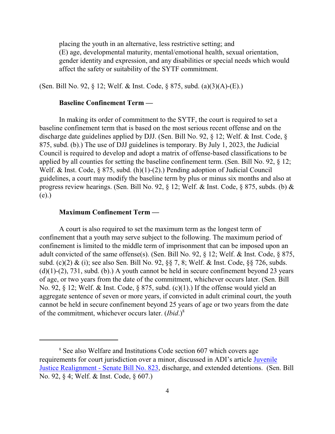placing the youth in an alternative, less restrictive setting; and (E) age, developmental maturity, mental/emotional health, sexual orientation, gender identity and expression, and any disabilities or special needs which would affect the safety or suitability of the SYTF commitment.

(Sen. Bill No. 92, § 12; Welf. & Inst. Code, § 875, subd. (a)(3)(A)-(E).)

## **Baseline Confinement Term —**

In making its order of commitment to the SYTF, the court is required to set a baseline confinement term that is based on the most serious recent offense and on the discharge date guidelines applied by DJJ. (Sen. Bill No. 92, § 12; Welf. & Inst. Code, § 875, subd. (b).) The use of DJJ guidelines is temporary. By July 1, 2023, the Judicial Council is required to develop and adopt a matrix of offense-based classifications to be applied by all counties for setting the baseline confinement term. (Sen. Bill No. 92, § 12; Welf. & Inst. Code, § 875, subd. (h)(1)-(2).) Pending adoption of Judicial Council guidelines, a court may modify the baseline term by plus or minus six months and also at progress review hearings. (Sen. Bill No. 92, § 12; Welf. & Inst. Code, § 875, subds. (b) & (e).)

## **Maximum Confinement Term —**

A court is also required to set the maximum term as the longest term of confinement that a youth may serve subject to the following. The maximum period of confinement is limited to the middle term of imprisonment that can be imposed upon an adult convicted of the same offense(s). (Sen. Bill No. 92, § 12; Welf. & Inst. Code, § 875, subd. (c)(2) & (i); see also Sen. Bill No. 92, §§ 7, 8; Welf. & Inst. Code, §§ 726, subds.  $(d)(1)-(2)$ , 731, subd. (b).) A youth cannot be held in secure confinement beyond 23 years of age, or two years from the date of the commitment, whichever occurs later. (Sen. Bill No. 92, § 12; Welf. & Inst. Code, § 875, subd. (c)(1).) If the offense would yield an aggregate sentence of seven or more years, if convicted in adult criminal court, the youth cannot be held in secure confinement beyond 25 years of age or two years from the date of the commitment, whichever occurs later. (*Ibid*.) 8

<sup>&</sup>lt;sup>8</sup> See also Welfare and Institutions Code section 607 which covers age requirements for court jurisdiction over a minor, discussed in ADI's article [Juvenile](http://www.adi-sandiego.com/delinq_depend/pdf_files/JUVENILE_JUSTICE_REALIGNMENT_Senate_Bill_No.823-4_20_2021.pdf) [Justice Realignment - Senate Bill No. 823](http://www.adi-sandiego.com/delinq_depend/pdf_files/JUVENILE_JUSTICE_REALIGNMENT_Senate_Bill_No.823-4_20_2021.pdf), discharge, and extended detentions. (Sen. Bill No. 92, § 4; Welf. & Inst. Code, § 607.)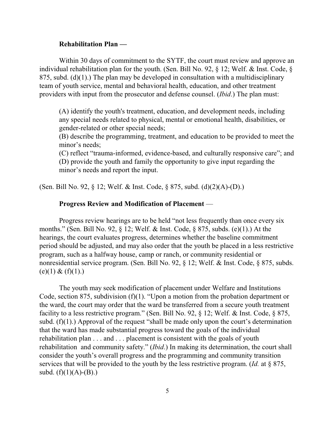#### **Rehabilitation Plan —**

Within 30 days of commitment to the SYTF, the court must review and approve an individual rehabilitation plan for the youth. (Sen. Bill No. 92, § 12; Welf. & Inst. Code, § 875, subd.  $(d)(1)$ .) The plan may be developed in consultation with a multidisciplinary team of youth service, mental and behavioral health, education, and other treatment providers with input from the prosecutor and defense counsel. (*Ibid*.) The plan must:

(A) identify the youth's treatment, education, and development needs, including any special needs related to physical, mental or emotional health, disabilities, or gender-related or other special needs;

(B) describe the programming, treatment, and education to be provided to meet the minor's needs;

(C) reflect "trauma-informed, evidence-based, and culturally responsive care"; and (D) provide the youth and family the opportunity to give input regarding the minor's needs and report the input.

(Sen. Bill No. 92, § 12; Welf. & Inst. Code, § 875, subd. (d)(2)(A)-(D).)

#### **Progress Review and Modification of Placement** —

Progress review hearings are to be held "not less frequently than once every six months." (Sen. Bill No. 92, § 12; Welf. & Inst. Code, § 875, subds. (e)(1).) At the hearings, the court evaluates progress, determines whether the baseline commitment period should be adjusted, and may also order that the youth be placed in a less restrictive program, such as a halfway house, camp or ranch, or community residential or nonresidential service program. (Sen. Bill No. 92, § 12; Welf. & Inst. Code, § 875, subds.  $(e)(1) & (f)(1).$ 

The youth may seek modification of placement under Welfare and Institutions Code, section 875, subdivision (f)(1). "Upon a motion from the probation department or the ward, the court may order that the ward be transferred from a secure youth treatment facility to a less restrictive program." (Sen. Bill No. 92, § 12; Welf. & Inst. Code, § 875, subd.  $(f)(1)$ .) Approval of the request "shall be made only upon the court's determination that the ward has made substantial progress toward the goals of the individual rehabilitation plan . . . and . . . placement is consistent with the goals of youth rehabilitation and community safety." (*Ibid*.) In making its determination, the court shall consider the youth's overall progress and the programming and community transition services that will be provided to the youth by the less restrictive program. (*Id.* at § 875, subd.  $(f)(1)(A)-(B)$ .)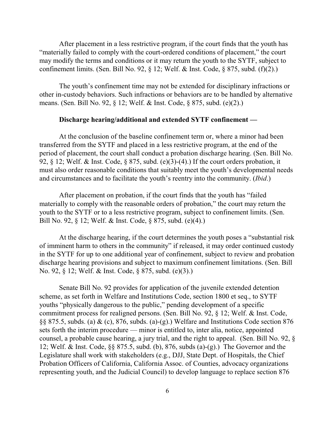After placement in a less restrictive program, if the court finds that the youth has "materially failed to comply with the court-ordered conditions of placement," the court may modify the terms and conditions or it may return the youth to the SYTF, subject to confinement limits. (Sen. Bill No. 92,  $\S$  12; Welf. & Inst. Code,  $\S$  875, subd. (f)(2).)

The youth's confinement time may not be extended for disciplinary infractions or other in-custody behaviors. Such infractions or behaviors are to be handled by alternative means. (Sen. Bill No. 92, § 12; Welf. & Inst. Code, § 875, subd. (e)(2).)

## **Discharge hearing/additional and extended SYTF confinement —**

At the conclusion of the baseline confinement term or, where a minor had been transferred from the SYTF and placed in a less restrictive program, at the end of the period of placement, the court shall conduct a probation discharge hearing. (Sen. Bill No. 92, § 12; Welf. & Inst. Code, § 875, subd. (e)(3)-(4).) If the court orders probation, it must also order reasonable conditions that suitably meet the youth's developmental needs and circumstances and to facilitate the youth's reentry into the community. (*Ibid*.)

After placement on probation, if the court finds that the youth has "failed materially to comply with the reasonable orders of probation," the court may return the youth to the SYTF or to a less restrictive program, subject to confinement limits. (Sen. Bill No. 92, § 12; Welf. & Inst. Code, § 875, subd. (e)(4).)

At the discharge hearing, if the court determines the youth poses a "substantial risk of imminent harm to others in the community" if released, it may order continued custody in the SYTF for up to one additional year of confinement, subject to review and probation discharge hearing provisions and subject to maximum confinement limitations. (Sen. Bill No. 92, § 12; Welf. & Inst. Code, § 875, subd. (e)(3).)

Senate Bill No. 92 provides for application of the juvenile extended detention scheme, as set forth in Welfare and Institutions Code, section 1800 et seq., to SYTF youths "physically dangerous to the public," pending development of a specific commitment process for realigned persons. (Sen. Bill No. 92, § 12; Welf. & Inst. Code, §§ 875.5, subds. (a) & (c), 876, subds. (a)-(g).) Welfare and Institutions Code section 876 sets forth the interim procedure — minor is entitled to, inter alia, notice, appointed counsel, a probable cause hearing, a jury trial, and the right to appeal. (Sen. Bill No. 92, § 12; Welf. & Inst. Code, §§ 875.5, subd. (b), 876, subds (a)-(g).) The Governor and the Legislature shall work with stakeholders (e.g., DJJ, State Dept. of Hospitals, the Chief Probation Officers of California, California Assoc. of Counties, advocacy organizations representing youth, and the Judicial Council) to develop language to replace section 876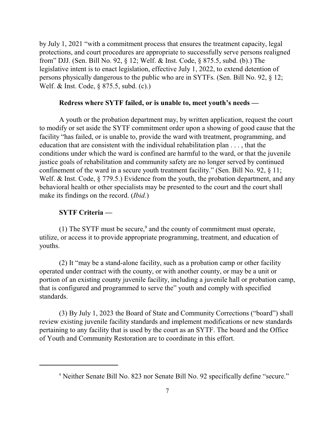by July 1, 2021 "with a commitment process that ensures the treatment capacity, legal protections, and court procedures are appropriate to successfully serve persons realigned from" DJJ. (Sen. Bill No. 92, § 12; Welf. & Inst. Code, § 875.5, subd. (b).) The legislative intent is to enact legislation, effective July 1, 2022, to extend detention of persons physically dangerous to the public who are in SYTFs. (Sen. Bill No. 92, § 12; Welf. & Inst. Code, § 875.5, subd. (c).)

## **Redress where SYTF failed, or is unable to, meet youth's needs —**

A youth or the probation department may, by written application, request the court to modify or set aside the SYTF commitment order upon a showing of good cause that the facility "has failed, or is unable to, provide the ward with treatment, programming, and education that are consistent with the individual rehabilitation plan . . . , that the conditions under which the ward is confined are harmful to the ward, or that the juvenile justice goals of rehabilitation and community safety are no longer served by continued confinement of the ward in a secure youth treatment facility." (Sen. Bill No. 92, § 11; Welf. & Inst. Code, § 779.5.) Evidence from the youth, the probation department, and any behavioral health or other specialists may be presented to the court and the court shall make its findings on the record. (*Ibid.*)

# **SYTF Criteria —**

(1) The SYTF must be secure, $9$  and the county of commitment must operate, utilize, or access it to provide appropriate programming, treatment, and education of youths.

(2) It "may be a stand-alone facility, such as a probation camp or other facility operated under contract with the county, or with another county, or may be a unit or portion of an existing county juvenile facility, including a juvenile hall or probation camp, that is configured and programmed to serve the" youth and comply with specified standards.

(3) By July 1, 2023 the Board of State and Community Corrections ("board") shall review existing juvenile facility standards and implement modifications or new standards pertaining to any facility that is used by the court as an SYTF. The board and the Office of Youth and Community Restoration are to coordinate in this effort.

<sup>&</sup>lt;sup>9</sup> Neither Senate Bill No. 823 nor Senate Bill No. 92 specifically define "secure."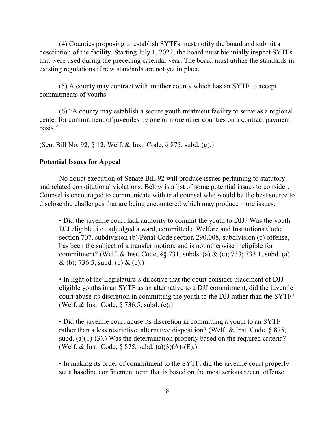(4) Counties proposing to establish SYTFs must notify the board and submit a description of the facility. Starting July 1, 2022, the board must biennially inspect SYTFs that were used during the preceding calendar year. The board must utilize the standards in existing regulations if new standards are not yet in place.

(5) A county may contract with another county which has an SYTF to accept commitments of youths.

(6) "A county may establish a secure youth treatment facility to serve as a regional center for commitment of juveniles by one or more other counties on a contract payment basis."

(Sen. Bill No. 92, § 12; Welf. & Inst. Code, § 875, subd. (g).)

## **Potential Issues for Appeal**

No doubt execution of Senate Bill 92 will produce issues pertaining to statutory and related constitutional violations. Below is a list of some potential issues to consider. Counsel is encouraged to communicate with trial counsel who would be the best source to disclose the challenges that are being encountered which may produce more issues.

• Did the juvenile court lack authority to commit the youth to DJJ? Was the youth DJJ eligible, i.e., adjudged a ward, committed a Welfare and Institutions Code section 707, subdivision (b)/Penal Code section 290.008, subdivision (c) offense, has been the subject of a transfer motion, and is not otherwise ineligible for commitment? (Welf. & Inst. Code, §§ 731, subds. (a) & (c); 733; 733.1, subd. (a)  $\&$  (b); 736.5, subd. (b)  $\&$  (c).)

• In light of the Legislature's directive that the court consider placement of DJJ eligible youths in an SYTF as an alternative to a DJJ commitment, did the juvenile court abuse its discretion in committing the youth to the DJJ rather than the SYTF? (Welf. & Inst. Code, § 736.5, subd. (c).)

• Did the juvenile court abuse its discretion in committing a youth to an SYTF rather than a less restrictive, alternative disposition? (Welf. & Inst. Code, § 875, subd. (a)(1)-(3).) Was the determination properly based on the required criteria? (Welf. & Inst. Code, § 875, subd. (a)(3)(A)-(E).)

• In making its order of commitment to the SYTF, did the juvenile court properly set a baseline confinement term that is based on the most serious recent offense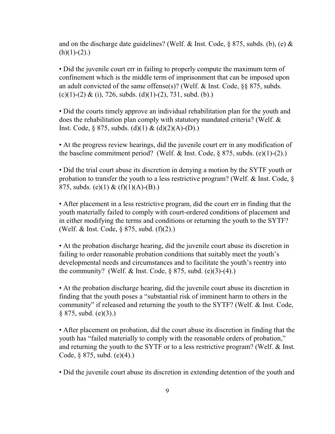and on the discharge date guidelines? (Welf. & Inst. Code,  $\S 875$ , subds. (b), (e) &  $(h)(1)-(2)$ .

• Did the juvenile court err in failing to properly compute the maximum term of confinement which is the middle term of imprisonment that can be imposed upon an adult convicted of the same offense(s)? (Welf. & Inst. Code, §§ 875, subds.  $(c)(1)-(2) & (i), 726$ , subds.  $(d)(1)-(2)$ , 731, subd. (b).)

• Did the courts timely approve an individual rehabilitation plan for the youth and does the rehabilitation plan comply with statutory mandated criteria? (Welf. & Inst. Code,  $\S 875$ , subds. (d)(1) & (d)(2)(A)-(D).)

• At the progress review hearings, did the juvenile court err in any modification of the baseline commitment period? (Welf. & Inst. Code,  $\S$  875, subds. (e)(1)-(2).)

• Did the trial court abuse its discretion in denying a motion by the SYTF youth or probation to transfer the youth to a less restrictive program? (Welf. & Inst. Code, § 875, subds. (e)(1) &  $(f)(1)(A)-(B)$ .)

• After placement in a less restrictive program, did the court err in finding that the youth materially failed to comply with court-ordered conditions of placement and in either modifying the terms and conditions or returning the youth to the SYTF? (Welf. & Inst. Code, § 875, subd. (f)(2).)

• At the probation discharge hearing, did the juvenile court abuse its discretion in failing to order reasonable probation conditions that suitably meet the youth's developmental needs and circumstances and to facilitate the youth's reentry into the community? (Welf. & Inst. Code,  $\S 875$ , subd. (e)(3)-(4).)

• At the probation discharge hearing, did the juvenile court abuse its discretion in finding that the youth poses a "substantial risk of imminent harm to others in the community" if released and returning the youth to the SYTF? (Welf. & Inst. Code,  $§ 875, subd. (e)(3).)$ 

• After placement on probation, did the court abuse its discretion in finding that the youth has "failed materially to comply with the reasonable orders of probation," and returning the youth to the SYTF or to a less restrictive program? (Welf. & Inst. Code, § 875, subd. (e)(4).)

• Did the juvenile court abuse its discretion in extending detention of the youth and